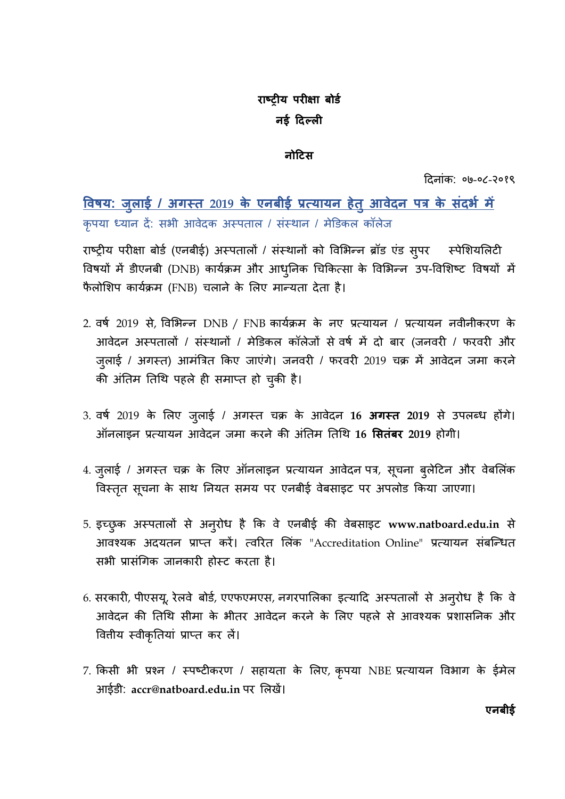# राष्ट्रीय परीक्षा बोर्ड नई दिल्ली

#### नोटिस

Ǒदनांक: ०७-०८-२०१९

<u>विषय: जुलाई / अगस्त 2019 के एनबीई प्रत्यायन हेतु आवेदन पत्र के संदर्भ में</u> कृपया ध्यान दें: सभी आवेदक अस्पताल / संस्थान / मेडिकल कॉलेज

राष्ट्रीय परीक्षा बोर्ड (एनबीई) अस्पतालों / संस्थानों को विभिन्न ब्रॉड एंड सुपर स्पेशियलिटी विषयों में डीएनबी (DNB) कार्यक्रम और आधुनिक चिकित्सा के विभिन्न उप-विशिष्ट विषयों में फैलोशिप कार्यक्रम (FNB) चलाने के लिए मान्यता देता है।

- 2. वर्ष 2019 से, विभिन्न DNB / FNB कार्यक्रम के नए प्रत्यायन / प्रत्यायन नवीनीकरण के आवेदन अस्पतालों / संस्थानों / मेडिकल कॉलेजों से वर्ष में दो बार (जनवरी / फरवरी और जुलाई / अगस्त) आमंत्रित किए जाएंगे। जनवरी / फरवरी 2019 चक्र में आवेदन जमा करने की अंतिम तिथि पहले ही समाप्त हो चुकी है।
- 3. वर्ष 2019 के लिए जुलाई / अगस्त चक्र के आवेदन 16 अगस्त 2019 से उपलब्ध होंगे। ऑनलाडन प्रत्यायन आवेदन जमा करने की अंतिम तिथि 16 **सितंबर** 2019 होगी।
- 4. जुलाई / अगस्त चक्र के लिए ऑनलाइन प्रत्यायन आवेदन पत्र, सूचना बुलेटिन और वेबलिंक विस्तृत सूचना के साथ नियत समय पर एनबीई वेबसाइट पर अपलोड किया जाएगा।
- 5. इच्छुक अस्पतालों से अनुरोध है कि वे एनबीई की वेबसाइट www.natboard.edu.in से आवश्यक अदयतन प्राप्त करें। त्वरित लिंक "Accreditation Online" प्रत्यायन संबन्धित सभी प्रासंगिक जानकारी होस्ट करता है।
- 6. सरकारी, पीएसयू, रेलवे बोर्ड, एएफएमएस, नगरपालिका इत्यादि अस्पतालों से अनुरोध है कि वे आवेदन की तिथि सीमा के भीतर आवेदन करने के लिए पहले से आवश्यक प्रशासनिक और वितीय स्वीकृतियां प्राप्त कर लैं।
- 7. किसी भी प्रश्न / स्पष्टीकरण / सहायता के लिए, कृपया NBE प्रत्यायन विभाग के ईमेल आईडी: accr@natboard.edu.in पर लिखें।

एनबीई